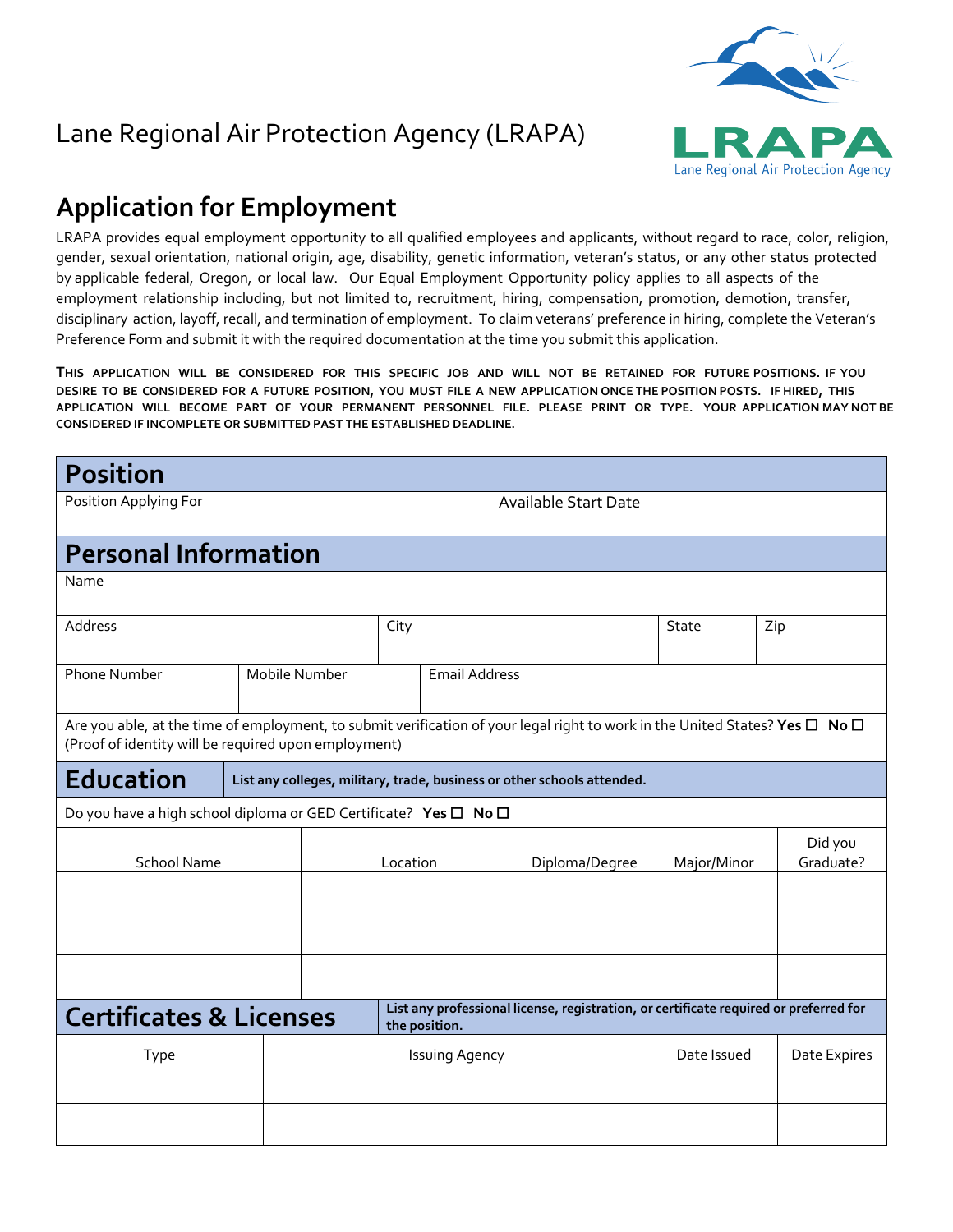

## Lane Regional Air Protection Agency (LRAPA)

## **Application for Employment**

LRAPA provides equal employment opportunity to all qualified employees and applicants, without regard to race, color, religion, gender, sexual orientation, national origin, age, disability, genetic information, veteran's status, or any other status protected by applicable federal, Oregon, or local law. Our Equal Employment Opportunity policy applies to all aspects of the employment relationship including, but not limited to, recruitment, hiring, compensation, promotion, demotion, transfer, disciplinary action, layoff, recall, and termination of employment. To claim veterans' preference in hiring, complete the Veteran's Preference Form and submit it with the required documentation at the time you submit this application.

THIS APPLICATION WILL BE CONSIDERED FOR THIS SPECIFIC JOB AND WILL NOT BE RETAINED FOR FUTURE POSITIONS. IF YOU DESIRE TO BE CONSIDERED FOR A FUTURE POSITION, YOU MUST FILE A NEW APPLICATION ONCE THE POSITION POSTS. IF HIRED, THIS **APPLICATION WILL BECOME PART OF YOUR PERMANENT PERSONNEL FILE. PLEASE PRINT OR TYPE. YOUR APPLICATION MAY NOT BE CONSIDERED IF INCOMPLETE OR SUBMITTED PAST THE ESTABLISHED DEADLINE.** 

| <b>Position</b>                                                                                                                                                                      |  |                                                                         |          |                             |                       |                |             |                      |
|--------------------------------------------------------------------------------------------------------------------------------------------------------------------------------------|--|-------------------------------------------------------------------------|----------|-----------------------------|-----------------------|----------------|-------------|----------------------|
| Position Applying For                                                                                                                                                                |  |                                                                         |          | <b>Available Start Date</b> |                       |                |             |                      |
| <b>Personal Information</b>                                                                                                                                                          |  |                                                                         |          |                             |                       |                |             |                      |
| Name                                                                                                                                                                                 |  |                                                                         |          |                             |                       |                |             |                      |
| Address                                                                                                                                                                              |  |                                                                         | City     |                             |                       |                | State       | Zip                  |
| Phone Number                                                                                                                                                                         |  | Mobile Number<br><b>Email Address</b>                                   |          |                             |                       |                |             |                      |
| Are you able, at the time of employment, to submit verification of your legal right to work in the United States? Yes □ No □<br>(Proof of identity will be required upon employment) |  |                                                                         |          |                             |                       |                |             |                      |
| <b>Education</b>                                                                                                                                                                     |  | List any colleges, military, trade, business or other schools attended. |          |                             |                       |                |             |                      |
| Do you have a high school diploma or GED Certificate? Yes □ No □                                                                                                                     |  |                                                                         |          |                             |                       |                |             |                      |
| <b>School Name</b>                                                                                                                                                                   |  |                                                                         | Location |                             |                       | Diploma/Degree | Major/Minor | Did you<br>Graduate? |
|                                                                                                                                                                                      |  |                                                                         |          |                             |                       |                |             |                      |
|                                                                                                                                                                                      |  |                                                                         |          |                             |                       |                |             |                      |
| List any professional license, registration, or certificate required or preferred for<br><b>Certificates &amp; Licenses</b><br>the position.                                         |  |                                                                         |          |                             |                       |                |             |                      |
| Type                                                                                                                                                                                 |  |                                                                         |          |                             | <b>Issuing Agency</b> |                | Date Issued | Date Expires         |
|                                                                                                                                                                                      |  |                                                                         |          |                             |                       |                |             |                      |
|                                                                                                                                                                                      |  |                                                                         |          |                             |                       |                |             |                      |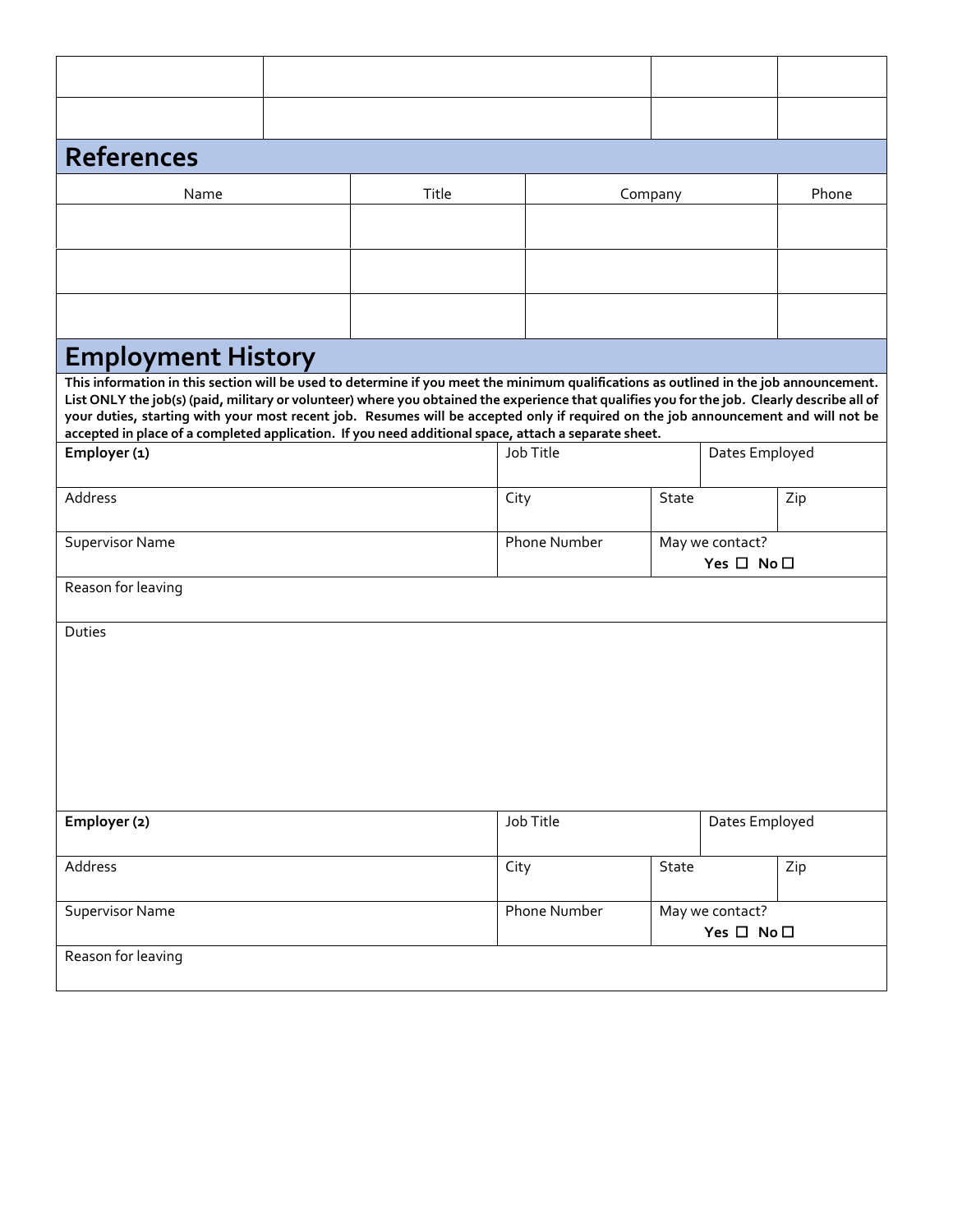| <b>References</b>                                                                                                                                                                                                                                                                                                                                                                                                                                                                                                                    |  |       |              |                                               |                               |       |  |
|--------------------------------------------------------------------------------------------------------------------------------------------------------------------------------------------------------------------------------------------------------------------------------------------------------------------------------------------------------------------------------------------------------------------------------------------------------------------------------------------------------------------------------------|--|-------|--------------|-----------------------------------------------|-------------------------------|-------|--|
| Name                                                                                                                                                                                                                                                                                                                                                                                                                                                                                                                                 |  | Title |              | Company                                       |                               | Phone |  |
|                                                                                                                                                                                                                                                                                                                                                                                                                                                                                                                                      |  |       |              |                                               |                               |       |  |
|                                                                                                                                                                                                                                                                                                                                                                                                                                                                                                                                      |  |       |              |                                               |                               |       |  |
|                                                                                                                                                                                                                                                                                                                                                                                                                                                                                                                                      |  |       |              |                                               |                               |       |  |
| <b>Employment History</b>                                                                                                                                                                                                                                                                                                                                                                                                                                                                                                            |  |       |              |                                               |                               |       |  |
| This information in this section will be used to determine if you meet the minimum qualifications as outlined in the job announcement.<br>List ONLY the job(s) (paid, military or volunteer) where you obtained the experience that qualifies you for the job. Clearly describe all of<br>your duties, starting with your most recent job. Resumes will be accepted only if required on the job announcement and will not be<br>accepted in place of a completed application. If you need additional space, attach a separate sheet. |  |       |              |                                               |                               |       |  |
| Employer (1)                                                                                                                                                                                                                                                                                                                                                                                                                                                                                                                         |  |       | Job Title    |                                               | Dates Employed                |       |  |
| Address                                                                                                                                                                                                                                                                                                                                                                                                                                                                                                                              |  |       | City         | State                                         |                               | Zip   |  |
| <b>Supervisor Name</b>                                                                                                                                                                                                                                                                                                                                                                                                                                                                                                               |  |       | Phone Number | May we contact?<br>Yes $\square$ No $\square$ |                               |       |  |
| Reason for leaving                                                                                                                                                                                                                                                                                                                                                                                                                                                                                                                   |  |       |              |                                               |                               |       |  |
| Duties                                                                                                                                                                                                                                                                                                                                                                                                                                                                                                                               |  |       |              |                                               |                               |       |  |
|                                                                                                                                                                                                                                                                                                                                                                                                                                                                                                                                      |  |       |              |                                               |                               |       |  |
| Employer (2)                                                                                                                                                                                                                                                                                                                                                                                                                                                                                                                         |  |       | Job Title    |                                               | Dates Employed                |       |  |
| Address                                                                                                                                                                                                                                                                                                                                                                                                                                                                                                                              |  |       | City         | State                                         |                               | Zip   |  |
| <b>Supervisor Name</b>                                                                                                                                                                                                                                                                                                                                                                                                                                                                                                               |  |       | Phone Number |                                               | May we contact?<br>Yes □ No □ |       |  |
| Reason for leaving                                                                                                                                                                                                                                                                                                                                                                                                                                                                                                                   |  |       |              |                                               |                               |       |  |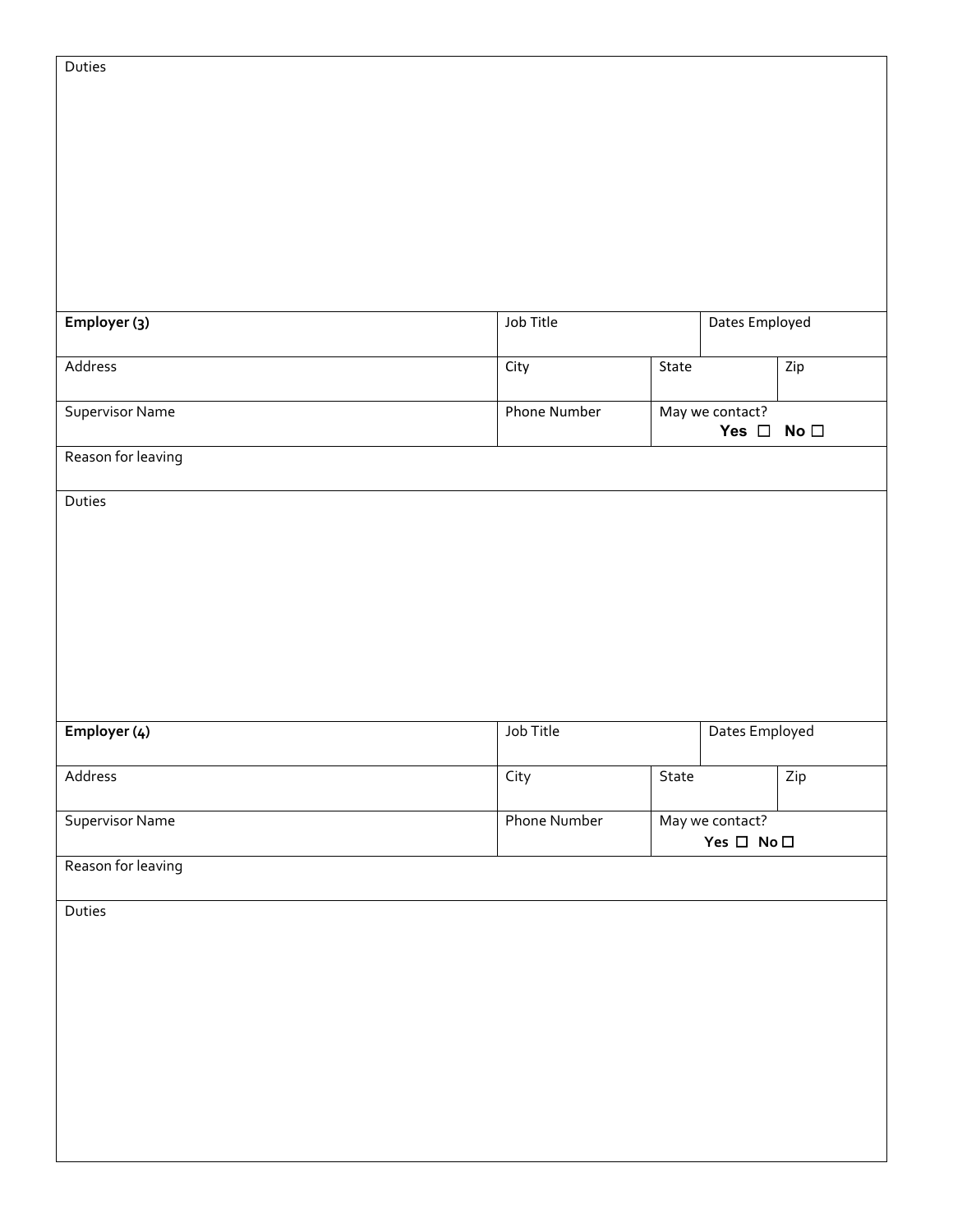| Employer (3)           | Job Title           |                                               | Dates Employed                   |              |
|------------------------|---------------------|-----------------------------------------------|----------------------------------|--------------|
| Address                | City                | State                                         |                                  | Zip          |
| Supervisor Name        | <b>Phone Number</b> |                                               | May we contact?<br>Yes $\square$ | No $\square$ |
| Reason for leaving     |                     |                                               |                                  |              |
| Duties                 |                     |                                               |                                  |              |
|                        |                     |                                               |                                  |              |
|                        |                     |                                               |                                  |              |
|                        |                     |                                               |                                  |              |
|                        |                     |                                               |                                  |              |
| Employer (4)           | Job Title           |                                               | Dates Employed                   |              |
| Address                | City                | State                                         |                                  | Zip          |
| <b>Supervisor Name</b> | Phone Number        | May we contact?<br>Yes $\square$ No $\square$ |                                  |              |
| Reason for leaving     |                     |                                               |                                  |              |
| Duties                 |                     |                                               |                                  |              |
|                        |                     |                                               |                                  |              |
|                        |                     |                                               |                                  |              |
|                        |                     |                                               |                                  |              |
|                        |                     |                                               |                                  |              |
|                        |                     |                                               |                                  |              |

Duties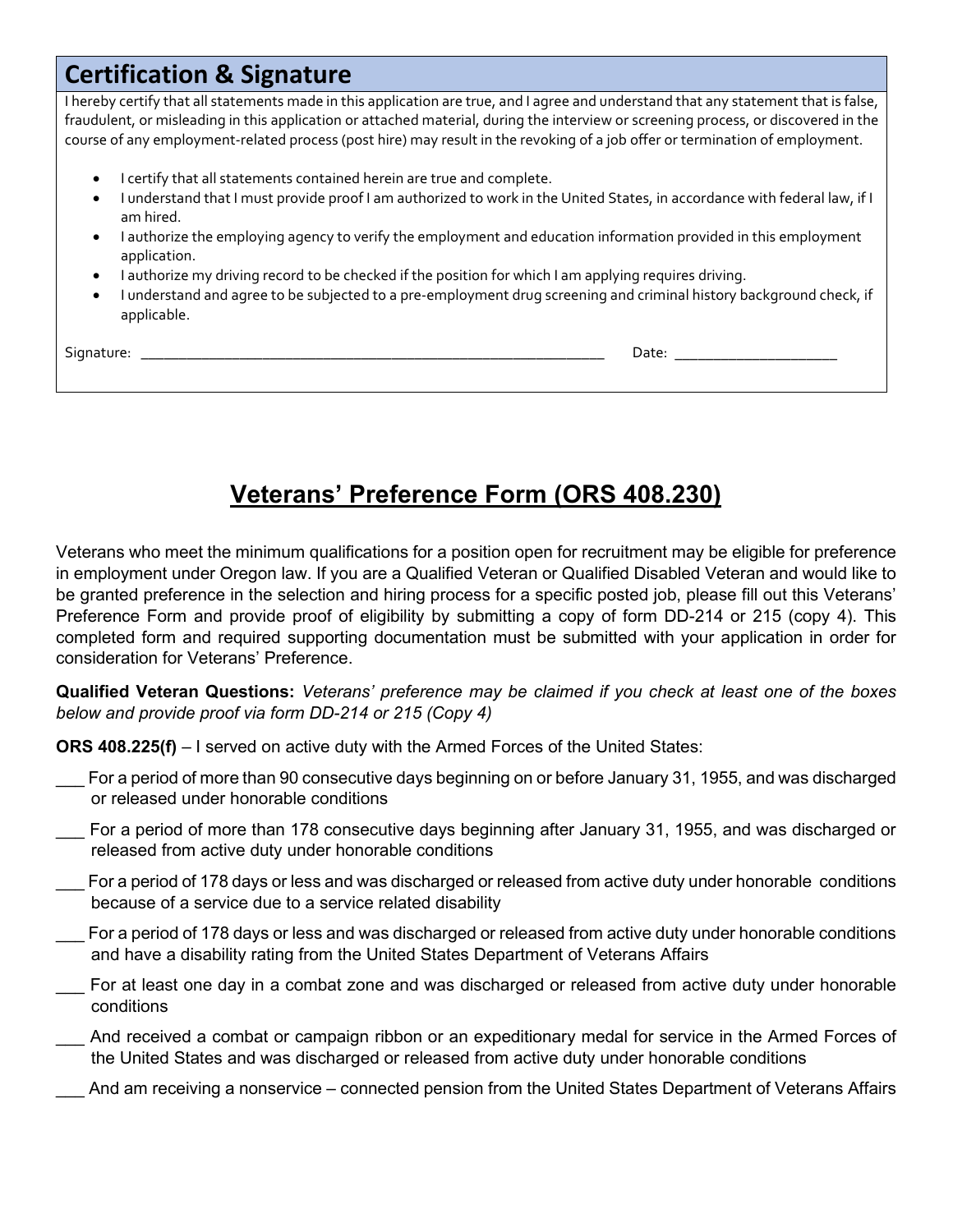## **Certification & Signature**

I hereby certify that all statements made in this application are true, and I agree and understand that any statement that is false, fraudulent, or misleading in this application or attached material, during the interview or screening process, or discovered in the course of any employment-related process (post hire) may result in the revoking of a job offer or termination of employment.

- I certify that all statements contained herein are true and complete.
- I understand that I must provide proof I am authorized to work in the United States, in accordance with federal law, if I am hired.
- I authorize the employing agency to verify the employment and education information provided in this employment application.
- I authorize my driving record to be checked if the position for which I am applying requires driving.
- I understand and agree to be subjected to a pre-employment drug screening and criminal history background check, if applicable.

Signature: \_\_\_\_\_\_\_\_\_\_\_\_\_\_\_\_\_\_\_\_\_\_\_\_\_\_\_\_\_\_\_\_\_\_\_\_\_\_\_\_\_\_\_\_\_\_\_\_\_\_\_\_\_\_\_\_\_\_\_\_\_ Date: \_\_\_\_\_\_\_\_\_\_\_\_\_\_\_\_\_\_\_\_\_

## **Veterans' Preference Form (ORS 408.230)**

Veterans who meet the minimum qualifications for a position open for recruitment may be eligible for preference in employment under Oregon law. If you are a Qualified Veteran or Qualified Disabled Veteran and would like to be granted preference in the selection and hiring process for a specific posted job, please fill out this Veterans' Preference Form and provide proof of eligibility by submitting a copy of form DD-214 or 215 (copy 4). This completed form and required supporting documentation must be submitted with your application in order for consideration for Veterans' Preference.

**Qualified Veteran Questions:** *Veterans' preference may be claimed if you check at least one of the boxes below and provide proof via form DD-214 or 215 (Copy 4)*

**ORS 408.225(f)** – I served on active duty with the Armed Forces of the United States:

- For a period of more than 90 consecutive days beginning on or before January 31, 1955, and was discharged or released under honorable conditions
- For a period of more than 178 consecutive days beginning after January 31, 1955, and was discharged or released from active duty under honorable conditions
- For a period of 178 days or less and was discharged or released from active duty under honorable conditions because of a service due to a service related disability
- For a period of 178 days or less and was discharged or released from active duty under honorable conditions and have a disability rating from the United States Department of Veterans Affairs
- For at least one day in a combat zone and was discharged or released from active duty under honorable conditions
- \_\_\_ And received a combat or campaign ribbon or an expeditionary medal for service in the Armed Forces of the United States and was discharged or released from active duty under honorable conditions
- And am receiving a nonservice connected pension from the United States Department of Veterans Affairs